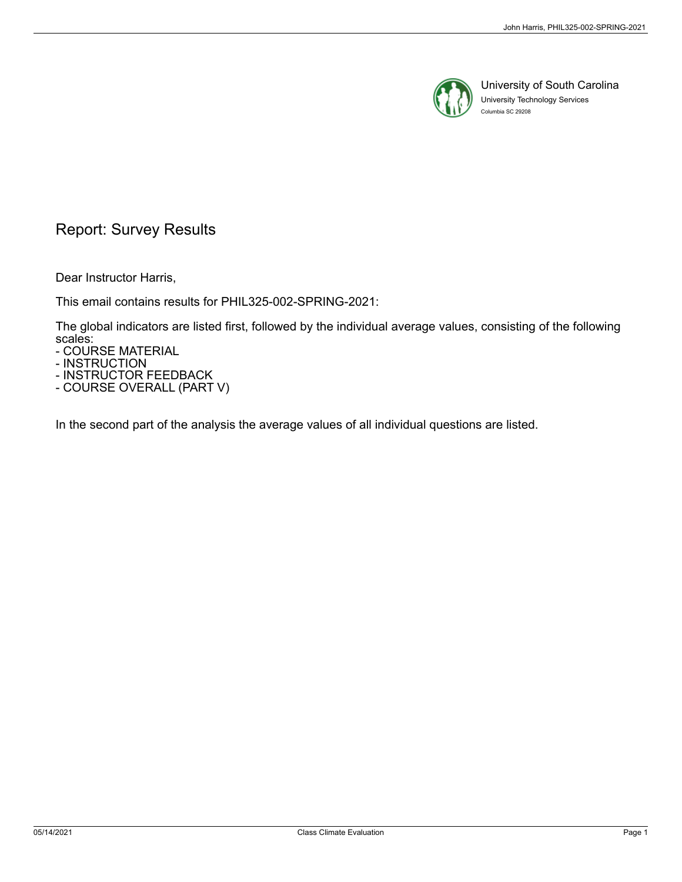

University of South Carolina University Technology Services Columbia SC 29208

# Report: Survey Results

Dear Instructor Harris,

This email contains results for PHIL325-002-SPRING-2021:

The global indicators are listed first, followed by the individual average values, consisting of the following scales:

- COURSE MATERIAL

- INSTRUCTION

- INSTRUCTOR FEEDBACK - COURSE OVERALL (PART V)

In the second part of the analysis the average values of all individual questions are listed.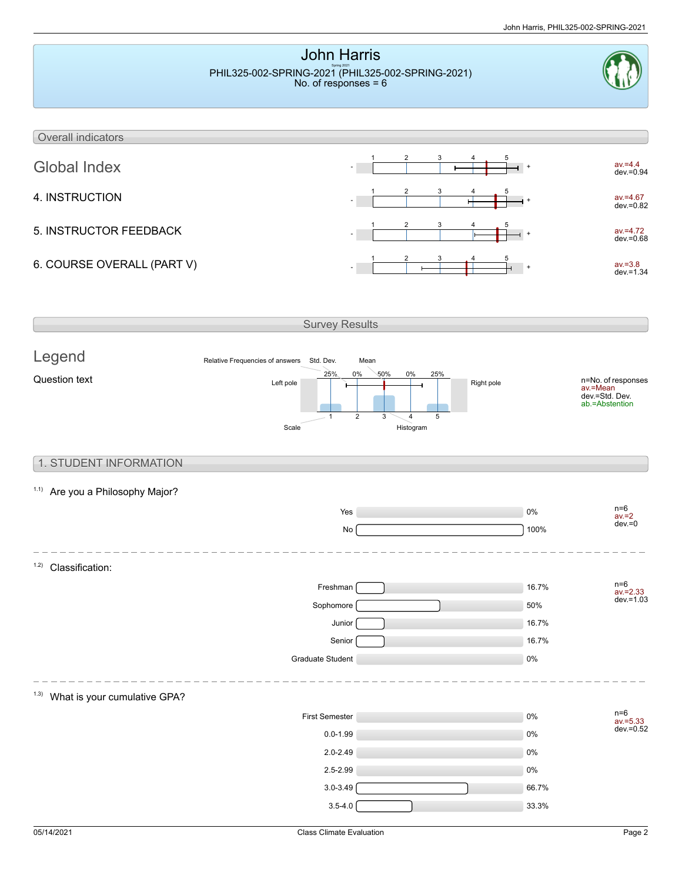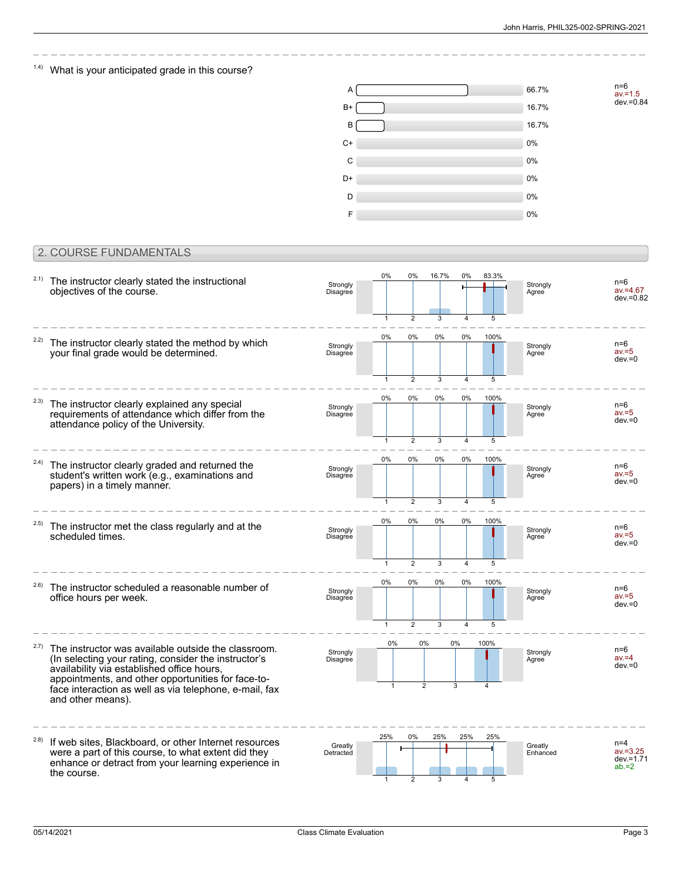## $1.4$ ) What is your anticipated grade in this course?



## 2. COURSE FUNDAMENTALS

| 2.1)  | The instructor clearly stated the instructional<br>objectives of the course.                                                                                                                                                                                                                   | Strongly<br>Disagree | $0\%$<br>$\overline{1}$    | 0%                                        | 16.7%        | 0%                   | 83.3%<br>5 | Strongly<br>Agree   | $n=6$<br>$av = 4.67$<br>dev.=0.82                |
|-------|------------------------------------------------------------------------------------------------------------------------------------------------------------------------------------------------------------------------------------------------------------------------------------------------|----------------------|----------------------------|-------------------------------------------|--------------|----------------------|------------|---------------------|--------------------------------------------------|
| 2.2)  | The instructor clearly stated the method by which<br>your final grade would be determined.                                                                                                                                                                                                     | Strongly<br>Disagree | 0%                         | $\overline{2}$<br>0%                      | 3<br>0%      | 0%                   | 100%       | Strongly<br>Agree   | $n=6$<br>$av = 5$<br>$dev = 0$                   |
| 2.3)  | The instructor clearly explained any special<br>requirements of attendance which differ from the<br>attendance policy of the University.                                                                                                                                                       | Strongly<br>Disagree | $\mathbf{1}$<br>0%         | $\overline{2}$<br>0%                      | 3<br>0%      | 0%                   | 5<br>100%  | Strongly<br>Agree   | n=6<br>$av = 5$<br>$dev = 0$                     |
| 2.4)  | The instructor clearly graded and returned the<br>student's written work (e.g., examinations and<br>papers) in a timely manner.                                                                                                                                                                | Strongly<br>Disagree | $\mathbf{1}$<br>0%         | $\overline{2}$<br>0%                      | 3<br>0%      | $\overline{4}$<br>0% | 5<br>100%  | Strongly<br>Agree   | n=6<br>$av = 5$<br>$dev = 0$                     |
| (2.5) | The instructor met the class regularly and at the<br>scheduled times.                                                                                                                                                                                                                          | Strongly<br>Disagree | $\mathbf{1}$<br>$0\%$      | $\overline{2}$<br>0%                      | 3<br>0%      | 4<br>0%              | 5<br>100%  | Strongly<br>Agree   | $n=6$<br>$av = 5$<br>$dev = 0$                   |
| 2.6)  | The instructor scheduled a reasonable number of<br>office hours per week.                                                                                                                                                                                                                      | Strongly<br>Disagree | $\mathbf{1}$<br>$0\%$<br>1 | $\overline{2}$<br>$0\%$<br>$\overline{2}$ | 3<br>0%<br>3 | $\overline{4}$<br>0% | 5<br>100%  | Strongly<br>Agree   | $n=6$<br>$av = 5$<br>$dev = 0$                   |
| 2.7)  | The instructor was available outside the classroom.<br>(In selecting your rating, consider the instructor's<br>availability via established office hours,<br>appointments, and other opportunities for face-to-<br>face interaction as well as via telephone, e-mail, fax<br>and other means). | Strongly<br>Disagree | $0\%$                      | 0%<br>$\overline{2}$                      |              | 0%<br>3              | 100%       | Strongly<br>Agree   | $n=6$<br>$av = 4$<br>$dev = 0$                   |
| 2.8)  | If web sites, Blackboard, or other Internet resources<br>were a part of this course, to what extent did they<br>enhance or detract from your learning experience in<br>the course.                                                                                                             | Greatly<br>Detracted | 25%<br>$\overline{1}$      | 0%<br>$\overline{2}$                      | 25%<br>3     | 25%<br>4             | 25%<br>5   | Greatly<br>Enhanced | $n=4$<br>$av = 3.25$<br>$dev = 1.71$<br>$ab = 2$ |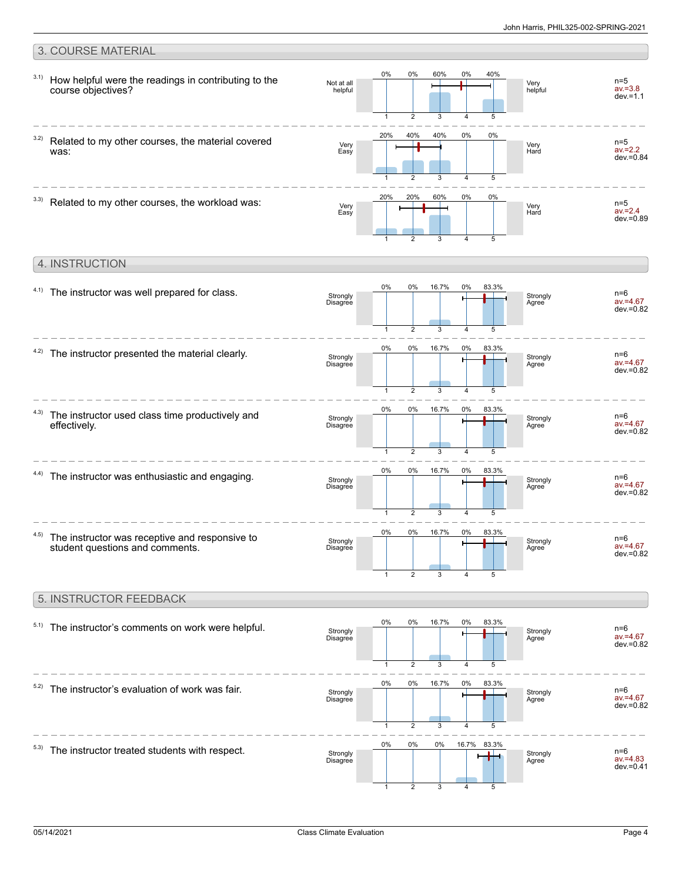#### 3. COURSE MATERIAL How helpful were the readings in contributing to the course objectives? 3.1) Very helpful Not at all helpful n=5  $av = 3.8$ dev.=1.1 0% 1 0%  $\mathfrak{D}$ 60% 3 0% 4 40% 5 Related to my other courses, the material covered was: 3.2) Very Hard Very Easy n=5 av.=2.2  $dev = 0.84$ 20% 1 40%  $\mathcal{D}$ 40% 3 0%  $\overline{A}$ 0% 5  $3.3)$  Related to my other courses, the workload was: Very Hard Very Easy n=5 av.=2.4  $dev = 0.89$ 20% 1 20% 2 60% 3 0% 4 0% 5 4. INSTRUCTION  $4.1)$  The instructor was well prepared for class. Strongly Agree Strongly Disagree n=6 av.=4.67 dev.=0.82 0% 1 0% 2 16.7% 3 0% 4 83.3% 5  $4.2$ ) The instructor presented the material clearly. Strongly Agree Strongly Disagree n=6 av.=4.67 dev.=0.82 0% 1 0%  $\overline{2}$ 16.7% 3 0% 4 83.3% 5 The instructor used class time productively and effectively. 4.3) Strongly Agree Strongly Disagree n=6 av.=4.67 dev.=0.82 0% 1 0%  $\overline{\phantom{a}}$ 16.7% 3 0% 4 83.3% 5  $4.4$ ) The instructor was enthusiastic and engaging. Strongly Agree Strongly Disagree n=6 av.=4.67  $dev = 0.82$ 0% 1 0%  $\mathfrak{D}$ 16.7% 3 0% 4 83.3% 5 The instructor was receptive and responsive to student questions and comments. 4.5) **Strongly** Agree Strongly Disagree n=6 av.=4.67 dev.=0.82 0% 1 0% 2 16.7% 3 0% 4 83.3% 5 5. INSTRUCTOR FEEDBACK  $5.1)$  The instructor's comments on work were helpful. Strongly Agree Strongly Disagree n=6 av.=4.67 dev.=0.82 0% 1 0% 2 16.7% 3 0% 4 83.3% 5  $5.2)$  The instructor's evaluation of work was fair. Strongly Agree Stro Disa n=6 av.=4.67 dev.=0.82 0% 1 0% 2 16.7% 3 0% 4 83.3% 5

 $5.3)$  The instructor treated students with respect.

|                      |    | - . -          | .  |       |       |                   |
|----------------------|----|----------------|----|-------|-------|-------------------|
| Strongly<br>Disagree |    |                |    |       |       | Strongly<br>Agree |
|                      | 1  | 2              | 3  | 4     | 5     |                   |
|                      | 0% | 0%             | 0% | 16.7% | 83.3% |                   |
| Strongly<br>Disagree |    |                |    |       |       | Strongly<br>Agree |
|                      |    | $\mathfrak{p}$ | 3  |       | 5     |                   |
|                      |    |                |    |       |       |                   |

n=6 av.=4.83 dev.=0.41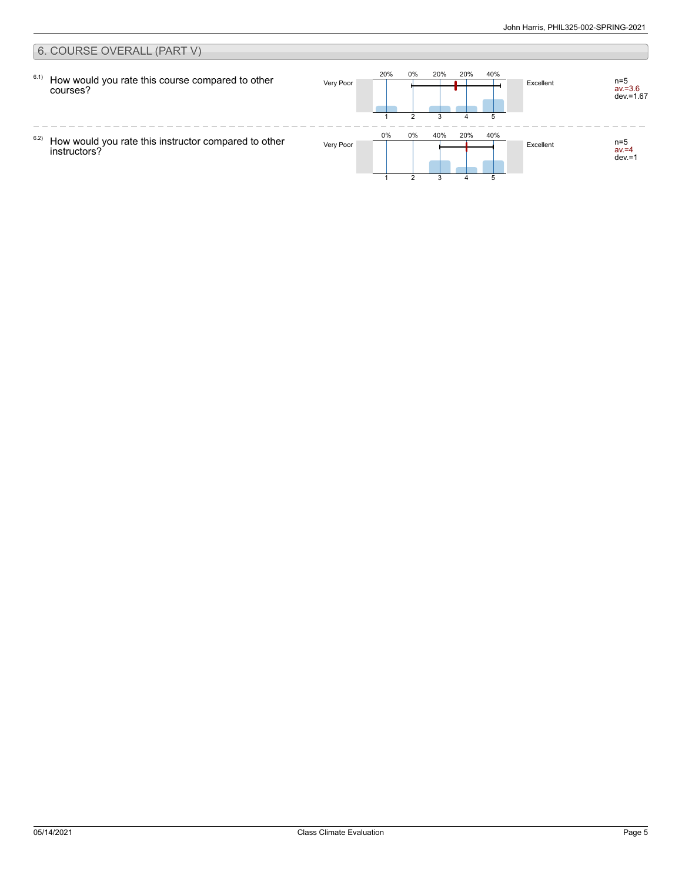#### 6. COURSE OVERALL (PART V) 20% 0% 20% 20% 40% 6.1) How would you rate this course compared to other Very Poor **Excellent** n=5 av.=3.6 dev.=1.67 courses? 2 3 4 5 1  $\frac{1}{2}$  $- - - -$ 0% 0% 40% 20% 40% 6.2) How would you rate this instructor compared to other Very Poor **Excellent** n=5 av.=4 dev.=1 instructors? 3 51 2 4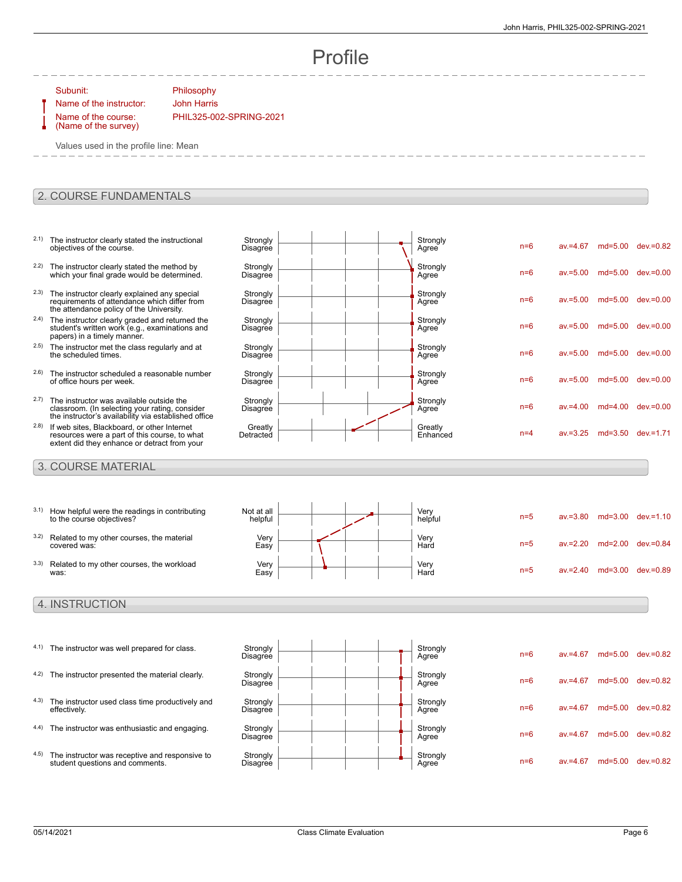n=6 av.=4.67 md=5.00 dev.=0.82

n=6 av.=5.00 md=5.00 dev.=0.00

n=6 av.=5.00 md=5.00 dev.=0.00

n=6 av.=5.00 md=5.00 dev.=0.00

n=6 av.=5.00 md=5.00 dev.=0.00

n=6 av.=4.00 md=4.00 dev.=0.00

 $n=4$  av $=3.25$  md=3.50 dev $=1.71$ 

Agree n=6 av.=5.00 md=5.00 dev.=0.00

# Profile

Subunit: Philosophy

Name of the course: (Name of the survey)

Name of the instructor: John Harris PHIL325-002-SPRING-2021

> **Strongly** Disagree

> **Strongly Disagree**

**Strongly Disagree** 

**Strongly Disagree** 

**Strongly** Disagree

**Strongly Disagree** 

**Strongly Disagree** 

**Greatly** Detracted

Values used in the profile line: Mean

### 2. COURSE FUNDAMENTALS

- 2.1) The instructor clearly stated the instructional objectives of the course.
- <sup>2.2)</sup> The instructor clearly stated the method by which your final grade would be determined.
- <sup>2.3)</sup> The instructor clearly explained any special requirements of attendance which differ from the attendance policy of the University.
- <sup>2.4)</sup> The instructor clearly graded and returned the student's written work (e.g., examinations and papers) in a timely manner.
- 2.5) The instructor met the class regularly and at the scheduled times.
- 2.6) The instructor scheduled a reasonable number of office hours per week.
- 2.7) The instructor was available outside the classroom. (In selecting your rating, consider the instructor's availability via established office
- 2.8) If web sites, Blackboard, or other Internet resources were a part of this course, to what extent did they enhance or detract from your

#### 3. COURSE MATERIAL

3.1) How helpful were the readings in contributing to the course objectives? Not at all helpful Very<br>helpful n=5 av.=3.80 md=3.00 dev.=1.10 3.2) Related to my other courses, the material covered was: Very Easy Very<br>Hard Hard n=5 av.=2.20 md=2.00 dev.=0.84 3.3) Related to my other courses, the workload was: Very Easy Very<br>Hard n=5 av.=2.40 md=3.00 dev.=0.89

### 4. INSTRUCTION

- 4.1) The instructor was well prepared for class. Strongly
- 4.2) The instructor presented the material clearly. Strongly
- 4.3) The instructor used class time productively and effectively.
- 4.4) The instructor was enthusiastic and engaging. Strongly
- 4.5) The instructor was receptive and responsive to student questions and comments.



Strongly<br>Agree

Strongly<br>Agree

Strongly<br>Agree

Strongly<br>Agree

Strongly<br>Agree

Strongly<br>Agree

Strongly<br>Agree

Greatly<br>Enhanced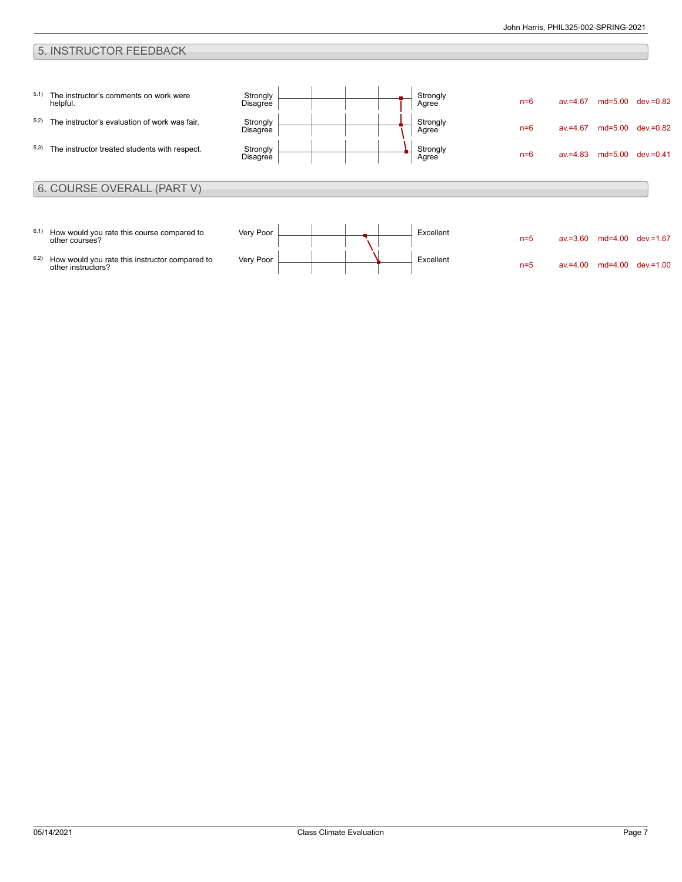## 5. INSTRUCTOR FEEDBACK

| 5.1) | The instructor's comments on work were<br>helpful.           | Strongly<br>Disagree | Strongly<br>Agree | $n=6$ | $av = 4.67$ |           | md=5.00 dev.=0.82 |
|------|--------------------------------------------------------------|----------------------|-------------------|-------|-------------|-----------|-------------------|
| 5.2) | The instructor's evaluation of work was fair.                | Strongly<br>Disagree | Strongly<br>Agree | $n=6$ | $av = 4.67$ | md=5.00   | dev.=0.82         |
| 5.3) | The instructor treated students with respect.                | Strongly<br>Disagree | Strongly<br>Agree | $n=6$ | $av = 4.83$ | md=5.00   | dev.=0.41         |
|      | 6. COURSE OVERALL (PART V)                                   |                      |                   |       |             |           |                   |
|      |                                                              |                      |                   |       |             |           |                   |
| 6.1) | How would you rate this course compared to<br>other courses? | Very Poor            | Excellent         | $n=5$ | $av = 3.60$ | $md=4.00$ | dev.=1.67         |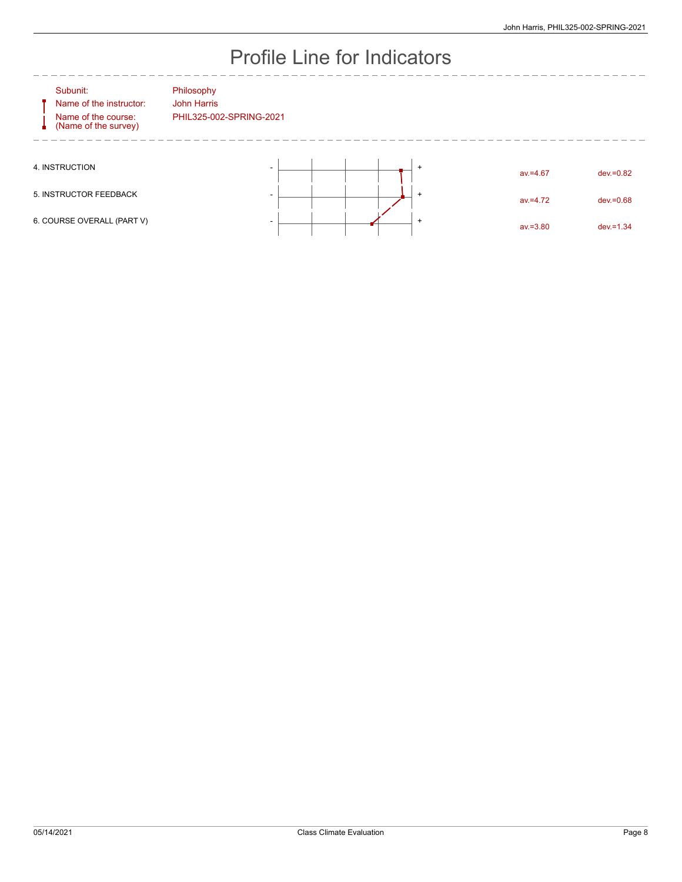# Profile Line for Indicators